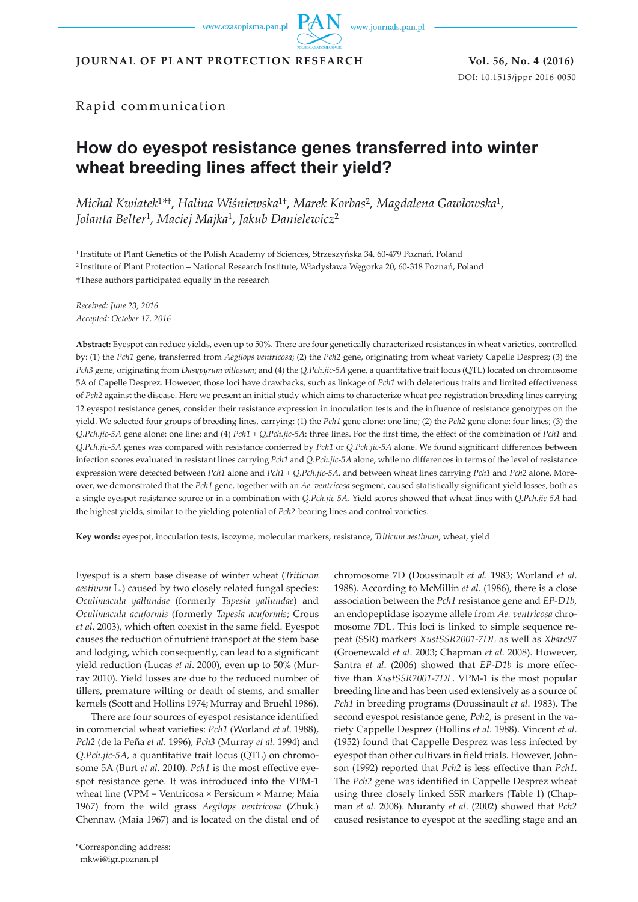www.czasopisma.pan.pl

www.journals.pan.pl

**JOURNAL OF PLANT PROTECTION RESEARCH Vol. 56, No. 4 (2016)**

DOI: 10.1515/jppr-2016-0050

## Rapid communication

# **How do eyespot resistance genes transferred into winter wheat breeding lines affect their yield?**

*Michał Kwiatek*<sup>1</sup>*\**†, *Halina Wiśniewska*1†, *Marek Korbas*2, *Magdalena Gawłowska*1, *Jolanta Belter*1, *Maciej Majka*1, *Jakub Danielewicz*<sup>2</sup>

<sup>1</sup>Institute of Plant Genetics of the Polish Academy of Sciences, Strzeszyńska 34, 60-479 Poznań, Poland <sup>2</sup>Institute of Plant Protection – National Research Institute, Władysława Węgorka 20, 60-318 Poznań, Poland †These authors participated equally in the research

*Received: June 23, 2016 Accepted: October 17, 2016*

**Abstract:** Eyespot can reduce yields, even up to 50%. There are four genetically characterized resistances in wheat varieties, controlled by: (1) the *Pch1* gene, transferred from *Aegilops ventricosa*; (2) the *Pch2* gene, originating from wheat variety Capelle Desprez; (3) the *Pch3* gene, originating from *Dasypyrum villosum*; and (4) the *Q.Pch.jic-5A* gene, a quantitative trait locus (QTL) located on chromosome 5A of Capelle Desprez. However, those loci have drawbacks, such as linkage of *Pch1* with deleterious traits and limited effectiveness of *Pch2* against the disease. Here we present an initial study which aims to characterize wheat pre-registration breeding lines carrying 12 eyespot resistance genes, consider their resistance expression in inoculation tests and the influence of resistance genotypes on the yield. We selected four groups of breeding lines, carrying: (1) the *Pch1* gene alone: one line; (2) the *Pch2* gene alone: four lines; (3) the *Q.Pch.jic-5A* gene alone: one line; and (4) *Pch1* + *Q.Pch.jic-5A*: three lines. For the first time, the effect of the combination of *Pch1* and *Q.Pch.jic-5A* genes was compared with resistance conferred by *Pch1* or *Q.Pch.jic-5A* alone. We found significant differences between infection scores evaluated in resistant lines carrying *Pch1* and *Q.Pch.jic-5A* alone, while no differences in terms of the level of resistance expression were detected between *Pch1* alone and *Pch1* + *Q.Pch.jic-5A*, and between wheat lines carrying *Pch1* and *Pch2* alone. Moreover, we demonstrated that the *Pch1* gene, together with an *Ae. ventricosa* segment, caused statistically significant yield losses, both as a single eyespot resistance source or in a combination with *Q.Pch.jic-5A*. Yield scores showed that wheat lines with *Q.Pch.jic-5A* had the highest yields, similar to the yielding potential of *Pch2*-bearing lines and control varieties.

**Key words:** eyespot, inoculation tests, isozyme, molecular markers, resistance, *Triticum aestivum*, wheat, yield

Eyespot is a stem base disease of winter wheat (*Triticum aestivum* L.) caused by two closely related fungal species: *Oculimacula yallundae* (formerly *Tapesia yallundae*) and *Oculimacula acuformis* (formerly *Tapesia acuformis*; Crous *et al*. 2003), which often coexist in the same field. Eyespot causes the reduction of nutrient transport at the stem base and lodging, which consequently, can lead to a significant yield reduction (Lucas *et al*. 2000), even up to 50% (Murray 2010). Yield losses are due to the reduced number of tillers, premature wilting or death of stems, and smaller kernels (Scott and Hollins 1974; Murray and Bruehl 1986).

There are four sources of eyespot resistance identified in commercial wheat varieties: *Pch1* (Worland *et al*. 1988), *Pch2* (de la Peña *et al*. 1996), *Pch3* (Murray *et al*. 1994) and *Q.Pch.jic-5A*, a quantitative trait locus (QTL) on chromosome 5A (Burt *et al*. 2010). *Pch1* is the most effective eyespot resistance gene. It was introduced into the VPM-1 wheat line (VPM = Ventricosa × Persicum × Marne; Maia 1967) from the wild grass *Aegilops ventricosa* (Zhuk.) Chennav. (Maia 1967) and is located on the distal end of

Santra *et al*. (2006) showed that *EP-D1b* is more effective than *XustSSR2001-7DL*. VPM-1 is the most popular breeding line and has been used extensively as a source of *Pch1* in breeding programs (Doussinault *et al*. 1983). The second eyespot resistance gene, *Pch2*, is present in the variety Cappelle Desprez (Hollins *et al*. 1988). Vincent *et al*. (1952) found that Cappelle Desprez was less infected by eyespot than other cultivars in field trials. However, Johnson (1992) reported that *Pch2* is less effective than *Pch1*. The *Pch2* gene was identified in Cappelle Desprez wheat using three closely linked SSR markers (Table 1) (Chapman *et al*. 2008). Muranty *et al*. (2002) showed that *Pch2*  caused resistance to eyespot at the seedling stage and an

chromosome 7D (Doussinault *et al*. 1983; Worland *et al*. 1988). According to McMillin *et al*. (1986), there is a close association between the *Pch1* resistance gene and *EP-D1b*, an endopeptidase isozyme allele from *Ae. ventricosa* chromosome 7DL. This loci is linked to simple sequence repeat (SSR) markers *XustSSR2001-7DL* as well as *Xbarc97* (Groenewald *et al*. 2003; Chapman *et al*. 2008). However,

\*Corresponding address:

mkwi@igr.poznan.pl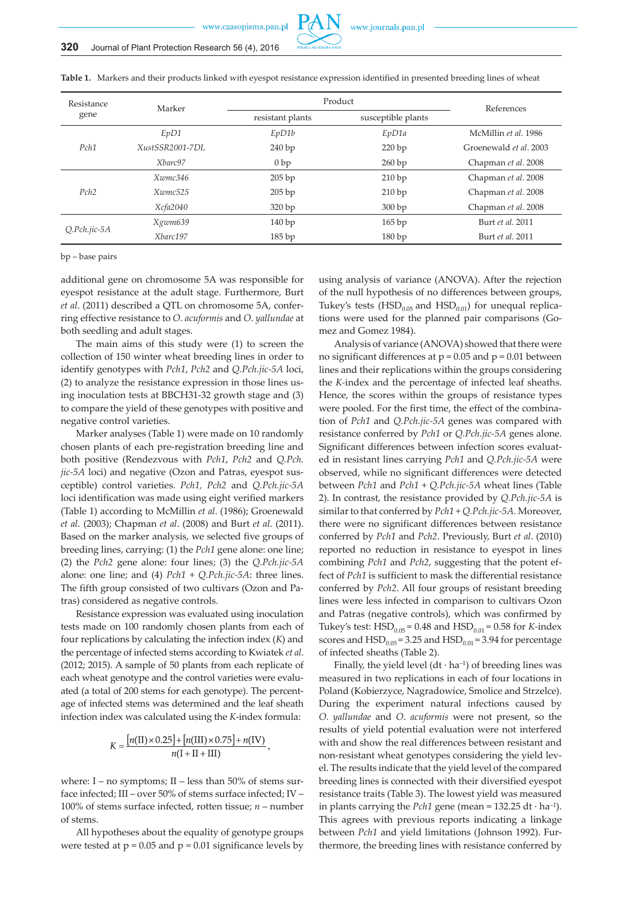

**Table 1.** Markers and their products linked with eyespot resistance expression identified in presented breeding lines of wheat

| Resistance      | Marker          | Product          | References         |                        |  |
|-----------------|-----------------|------------------|--------------------|------------------------|--|
| gene            |                 | resistant plants | susceptible plants |                        |  |
|                 | EpD1            | EpD1b            | EpD1a              | McMillin et al. 1986   |  |
| Pch1            | XustSSR2001-7DL | 240bp            | 220bp              | Groenewald et al. 2003 |  |
|                 | Xbarc97         | 0bp              | 260 bp             | Chapman et al. 2008    |  |
|                 | Xwmc346         | 205bp            | 210bp              | Chapman et al. 2008    |  |
| Pch2            | Xwmc525         | 205 bp           | 210bp              | Chapman et al. 2008    |  |
|                 | Xcfa2040        | 320bp            | 300bp              | Chapman et al. 2008    |  |
|                 | Xgwm639         | 140bp            | 165bp              | Burt et al. 2011       |  |
| $Q.Pch. jic-5A$ | Xbarc197        | 185bp            | 180bp              | Burt et al. 2011       |  |

bp – base pairs

additional gene on chromosome 5A was responsible for eyespot resistance at the adult stage. Furthermore, Burt *et al*. (2011) described a QTL on chromosome 5A, conferring effective resistance to *O. acuformis* and *O*. *yallundae* at both seedling and adult stages.

The main aims of this study were (1) to screen the collection of 150 winter wheat breeding lines in order to identify genotypes with *Pch1*, *Pch2* and *Q.Pch.jic-5A* loci, (2) to analyze the resistance expression in those lines using inoculation tests at BBCH31-32 growth stage and (3) to compare the yield of these genotypes with positive and negative control varieties.

Marker analyses (Table 1) were made on 10 randomly chosen plants of each pre-registration breeding line and both positive (Rendezvous with *Pch1*, *Pch2* and *Q.Pch. jic-5A* loci) and negative (Ozon and Patras, eyespot susceptible) control varieties. *Pch1, Pch2* and *Q.Pch.jic-5A*  loci identification was made using eight verified markers (Table 1) according to McMillin *et al*. (1986); Groenewald *et al*. (2003); Chapman *et al*. (2008) and Burt *et al*. (2011). Based on the marker analysis, we selected five groups of breeding lines, carrying: (1) the *Pch1* gene alone: one line; (2) the *Pch2* gene alone: four lines; (3) the *Q.Pch.jic-5A* alone: one line; and (4) *Pch1* + *Q.Pch.jic-5A*: three lines. The fifth group consisted of two cultivars (Ozon and Patras) considered as negative controls.

Resistance expression was evaluated using inoculation tests made on 100 randomly chosen plants from each of four replications by calculating the infection index (*K*) and the percentage of infected stems according to Kwiatek *et al*. (2012; 2015). A sample of 50 plants from each replicate of each wheat genotype and the control varieties were evaluated (a total of 200 stems for each genotype). The percentage of infected stems was determined and the leaf sheath infection index was calculated using the *K*-index formula:

$$
K = \frac{[n(\text{II}) \times 0.25] + [n(\text{III}) \times 0.75] + n(\text{IV})}{n(\text{I} + \text{II} + \text{III})}
$$

where:  $I - no$  symptoms;  $II - less$  than 50% of stems surface infected; III – over 50% of stems surface infected; IV – 100% of stems surface infected, rotten tissue; *n* – number of stems.

All hypotheses about the equality of genotype groups were tested at  $p = 0.05$  and  $p = 0.01$  significance levels by using analysis of variance (ANOVA). After the rejection of the null hypothesis of no differences between groups, Tukey's tests (HSD<sub>0.05</sub> and HSD<sub>0.01</sub>) for unequal replications were used for the planned pair comparisons (Gomez and Gomez 1984).

Analysis of variance (ANOVA) showed that there were no significant differences at  $p = 0.05$  and  $p = 0.01$  between lines and their replications within the groups considering the *K-*index and the percentage of infected leaf sheaths. Hence, the scores within the groups of resistance types were pooled. For the first time, the effect of the combination of *Pch1* and *Q.Pch.jic-5A* genes was compared with resistance conferred by *Pch1* or *Q.Pch.jic-5A* genes alone. Significant differences between infection scores evaluated in resistant lines carrying *Pch1* and *Q.Pch.jic-5A* were observed, while no significant differences were detected between *Pch1* and *Pch1* + *Q.Pch.jic-5A* wheat lines (Table 2). In contrast, the resistance provided by *Q.Pch.jic-5A* is similar to that conferred by *Pch1* + *Q.Pch.jic-5A.* Moreover, there were no significant differences between resistance conferred by *Pch1* and *Pch2*. Previously, Burt *et al*. (2010) reported no reduction in resistance to eyespot in lines combining *Pch1* and *Pch2*, suggesting that the potent effect of *Pch1* is sufficient to mask the differential resistance conferred by *Pch2*. All four groups of resistant breeding lines were less infected in comparison to cultivars Ozon and Patras (negative controls), which was confirmed by Tukey's test:  $HSD_{0.05} = 0.48$  and  $HSD_{0.01} = 0.58$  for *K*-index scores and  $HSD<sub>0.05</sub> = 3.25$  and  $HSD<sub>0.01</sub> = 3.94$  for percentage of infected sheaths (Table 2).

Finally, the yield level  $(dt \cdot ha^{-1})$  of breeding lines was measured in two replications in each of four locations in Poland (Kobierzyce, Nagradowice, Smolice and Strzelce). During the experiment natural infections caused by *O. yallundae* and *O*. *acuformis* were not present, so the results of yield potential evaluation were not interfered with and show the real differences between resistant and non-resistant wheat genotypes considering the yield level. The results indicate that the yield level of the compared breeding lines is connected with their diversified eyespot resistance traits (Table 3). The lowest yield was measured in plants carrying the *Pch1* gene (mean =  $132.25$  dt · ha<sup>-1</sup>). This agrees with previous reports indicating a linkage between *Pch1* and yield limitations (Johnson 1992). Furthermore, the breeding lines with resistance conferred by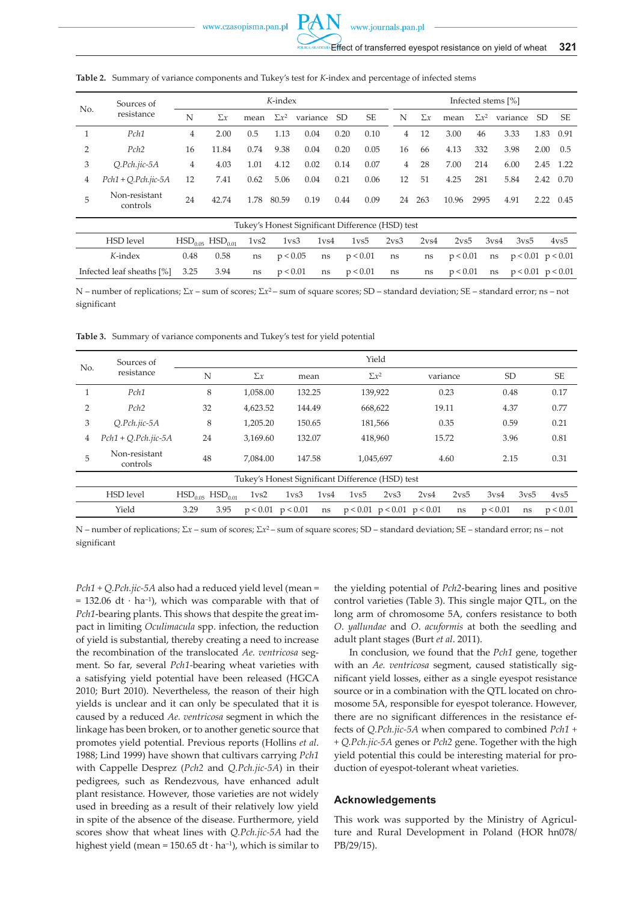www.czasopisma.pan.pl

| No.           | Sources of                | K-index |            |      |              |          |                 |           |    | Infected stems [%] |       |              |          |      |      |  |
|---------------|---------------------------|---------|------------|------|--------------|----------|-----------------|-----------|----|--------------------|-------|--------------|----------|------|------|--|
|               | resistance                | N       | $\Sigma x$ | mean | $\Sigma x^2$ | variance | SD <sub>-</sub> | <b>SE</b> | N  | $\Sigma x$         | mean  | $\Sigma x^2$ | variance | SD.  | SE   |  |
|               | Pch1                      | 4       | 2.00       | 0.5  | 1.13         | 0.04     | 0.20            | 0.10      | 4  | 12                 | 3.00  | 46           | 3.33     | 1.83 | 0.91 |  |
| $\mathcal{P}$ | Pch2                      | 16      | 11.84      | 0.74 | 9.38         | 0.04     | 0.20            | 0.05      | 16 | 66                 | 4.13  | 332          | 3.98     | 2.00 | 0.5  |  |
| 3             | $O.Pch.$ <i>jic</i> -5A   | 4       | 4.03       | 1.01 | 4.12         | 0.02     | 0.14            | 0.07      | 4  | 28                 | 7.00  | 214          | 6.00     | 2.45 | 1.22 |  |
| 4             | $Pch1 + O.Pch.$ iic-5A    | 12      | 7.41       | 0.62 | 5.06         | 0.04     | 0.21            | 0.06      | 12 | 51                 | 4.25  | 281          | 5.84     | 2.42 | 0.70 |  |
|               | Non-resistant<br>controls | 24      | 42.74      | 1.78 | 80.59        | 0.19     | 0.44            | 0.09      | 24 | 263                | 10.96 | 2995         | 4.91     | 2.22 | 0.45 |  |

#### **Table 2.** Summary of variance components and Tukey's test for *K*-index and percentage of infected stems

| Tukey's Honest Significant Difference (HSD) test |      |      |    |                                                                       |  |                                   |    |    |                                     |  |  |      |
|--------------------------------------------------|------|------|----|-----------------------------------------------------------------------|--|-----------------------------------|----|----|-------------------------------------|--|--|------|
| HSD level                                        |      |      |    | $HSD_{0.05}$ $HSD_{0.01}$ $1vs2$ $1vs3$ $1vs4$ $1vs5$ $2vs3$ $2vs4$   |  |                                   |    |    | 2ys5 3ys4 3ys5                      |  |  | 4ys5 |
| K-index                                          | 0.48 | 0.58 |    | ns $p < 0.05$ ns $p < 0.01$ ns ns $p < 0.01$ ns $p < 0.01$ $p < 0.01$ |  |                                   |    |    |                                     |  |  |      |
| Infected leaf sheaths $\binom{9}{0}$ 3.25 3.94   |      |      | ns | p < 0.01                                                              |  | $\text{ns} \quad \text{p} < 0.01$ | ns | ns | $p < 0.01$ ns $p < 0.01$ $p < 0.01$ |  |  |      |

N – number of replications; Σ*x* – sum of scores; Σ*x*2 – sum of square scores; SD – standard deviation; SE – standard error; ns – not significant

**Table 3.** Summary of variance components and Tukey's test for yield potential

| No. | Sources of                                       |                                         |      |                    |                       |                  |                  | Yield                            |                  |                  |                  |                 |                 |
|-----|--------------------------------------------------|-----------------------------------------|------|--------------------|-----------------------|------------------|------------------|----------------------------------|------------------|------------------|------------------|-----------------|-----------------|
|     | resistance                                       | N                                       |      | $\Sigma x$<br>mean |                       |                  | $\Sigma x^2$     |                                  | variance         |                  | SD               |                 | SE              |
|     | Pch1                                             | 8                                       |      | 1,058.00           |                       | 132.25           |                  | 139,922                          |                  | 0.23             |                  | 0.48            |                 |
| 2   | Pch2                                             | 32                                      |      | 4,623.52           |                       | 144.49           | 668,622          |                                  | 19.11            |                  | 4.37             |                 | 0.77            |
| 3   | $Q.Pch. jic-5A$                                  | 8                                       |      | 1.205.20           | 150.65                |                  | 181,566          |                                  | 0.35             |                  | 0.59             |                 | 0.21            |
| 4   | $Pch1 + Q.Pch. jic-5A$                           | 24                                      |      | 3.169.60           | 132.07                |                  | 418,960          |                                  | 15.72            |                  | 3.96             |                 | 0.81            |
| 5   | Non-resistant<br>controls                        | 48                                      |      | 7.084.00           | 147.58                |                  | 1,045,697        |                                  |                  | 4.60             |                  | 2.15            |                 |
|     | Tukey's Honest Significant Difference (HSD) test |                                         |      |                    |                       |                  |                  |                                  |                  |                  |                  |                 |                 |
|     | <b>HSD</b> level                                 | HSD <sub>0.05</sub> HSD <sub>0.01</sub> |      | 1 <sub>vs2</sub>   | 1 <sub>vs3</sub>      | 1 <sub>vs4</sub> | 1 <sub>vs5</sub> | 2 <sub>vs3</sub>                 | 2 <sub>vs4</sub> | 2 <sub>vs5</sub> | 3v <sub>s4</sub> | 3v <sub>5</sub> | 4v <sub>5</sub> |
|     | Yield                                            | 3.29                                    | 3.95 |                    | $p < 0.01$ $p < 0.01$ | ns               |                  | $p < 0.01$ $p < 0.01$ $p < 0.01$ |                  | ns               | p < 0.01         | ns              | p < 0.01        |

N – number of replications; Σ*x* – sum of scores; Σ*x*2 – sum of square scores; SD – standard deviation; SE – standard error; ns – not significant

*Pch1 + Q.Pch.jic-5A* also had a reduced yield level (mean =  $= 132.06$  dt · ha<sup>-1</sup>), which was comparable with that of *Pch1*-bearing plants. This shows that despite the great impact in limiting *Oculimacula* spp. infection, the reduction of yield is substantial, thereby creating a need to increase the recombination of the translocated *Ae. ventricosa* segment. So far, several *Pch1-*bearing wheat varieties with a satisfying yield potential have been released (HGCA 2010; Burt 2010). Nevertheless, the reason of their high yields is unclear and it can only be speculated that it is caused by a reduced *Ae. ventricosa* segment in which the linkage has been broken, or to another genetic source that promotes yield potential. Previous reports (Hollins *et al*. 1988; Lind 1999) have shown that cultivars carrying *Pch1* with Cappelle Desprez (*Pch2* and *Q.Pch.jic-5A*) in their pedigrees, such as Rendezvous, have enhanced adult plant resistance. However, those varieties are not widely used in breeding as a result of their relatively low yield in spite of the absence of the disease. Furthermore, yield scores show that wheat lines with *Q.Pch.jic-5A* had the highest yield (mean =  $150.65$  dt · ha<sup>-1</sup>), which is similar to

the yielding potential of *Pch2*-bearing lines and positive control varieties (Table 3). This single major QTL, on the long arm of chromosome 5A, confers resistance to both *O*. *yallundae* and *O*. *acuformis* at both the seedling and adult plant stages (Burt *et al*. 2011).

In conclusion, we found that the *Pch1* gene, together with an *Ae. ventricosa* segment, caused statistically significant yield losses, either as a single eyespot resistance source or in a combination with the QTL located on chromosome 5A, responsible for eyespot tolerance. However, there are no significant differences in the resistance effects of *Q.Pch.jic-5A* when compared to combined *Pch1 + + Q.Pch.jic-5A* genes or *Pch2* gene. Together with the high yield potential this could be interesting material for production of eyespot-tolerant wheat varieties.

#### **Acknowledgements**

This work was supported by the Ministry of Agriculture and Rural Development in Poland (HOR hn078/ PB/29/15).